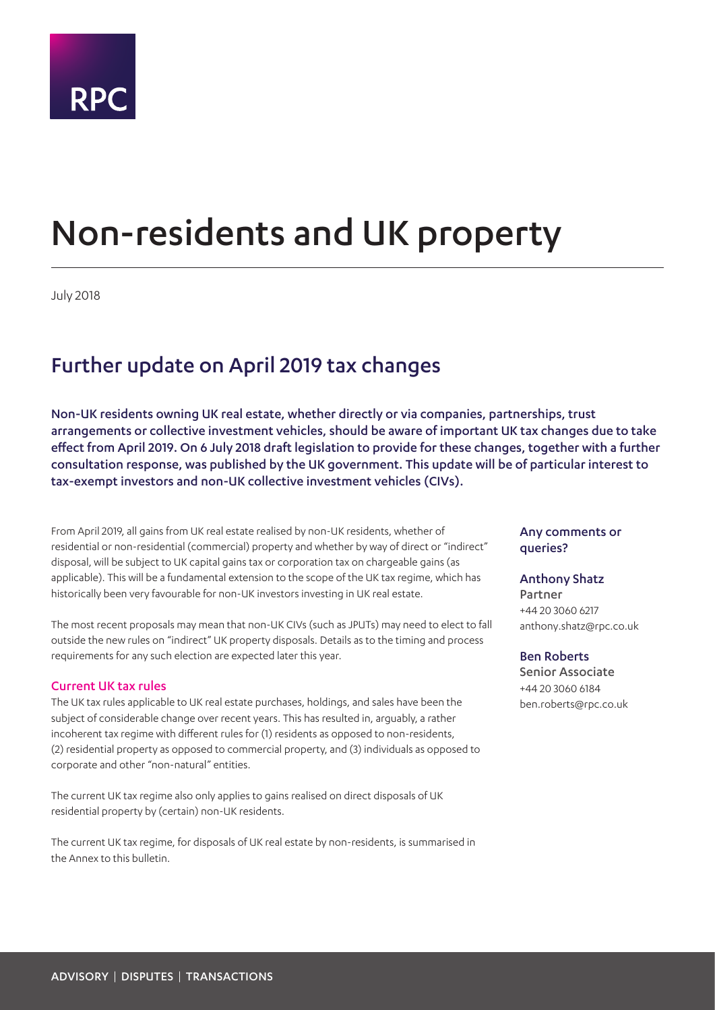

# Non-residents and UK property

July 2018

## Further update on April 2019 tax changes

Non-UK residents owning UK real estate, whether directly or via companies, partnerships, trust arrangements or collective investment vehicles, should be aware of important UK tax changes due to take effect from April 2019. On 6 July 2018 draft legislation to provide for these changes, together with a further consultation response, was published by the UK government. This update will be of particular interest to tax-exempt investors and non-UK collective investment vehicles (CIVs).

From April 2019, all gains from UK real estate realised by non-UK residents, whether of residential or non-residential (commercial) property and whether by way of direct or "indirect" disposal, will be subject to UK capital gains tax or corporation tax on chargeable gains (as applicable). This will be a fundamental extension to the scope of the UK tax regime, which has historically been very favourable for non-UK investors investing in UK real estate.

The most recent proposals may mean that non-UK CIVs (such as JPUTs) may need to elect to fall outside the new rules on "indirect" UK property disposals. Details as to the timing and process requirements for any such election are expected later this year.

#### Current UK tax rules

The UK tax rules applicable to UK real estate purchases, holdings, and sales have been the subject of considerable change over recent years. This has resulted in, arguably, a rather incoherent tax regime with different rules for (1) residents as opposed to non-residents, (2) residential property as opposed to commercial property, and (3) individuals as opposed to corporate and other "non-natural" entities.

The current UK tax regime also only applies to gains realised on direct disposals of UK residential property by (certain) non-UK residents.

The current UK tax regime, for disposals of UK real estate by non-residents, is summarised in the Annex to this bulletin.

#### Any comments or queries?

#### Anthony Shatz

Partner +44 20 3060 6217 anthony.shatz@rpc.co.uk

#### Ben Roberts

Senior Associate +44 20 3060 6184 ben.roberts@rpc.co.uk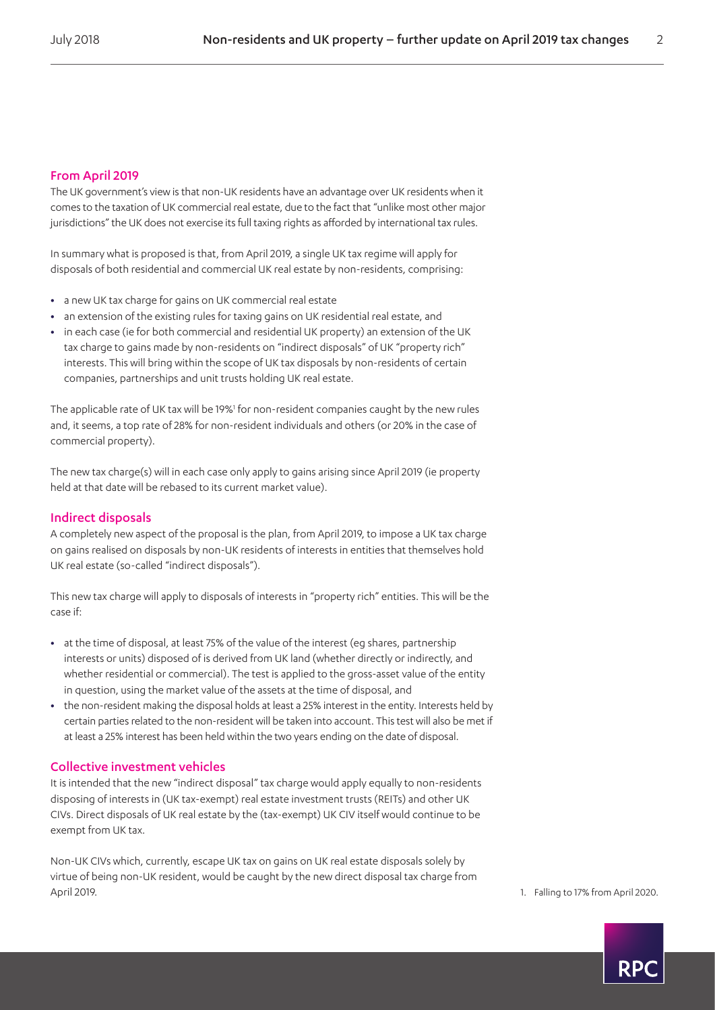#### From April 2019

The UK government's view is that non-UK residents have an advantage over UK residents when it comes to the taxation of UK commercial real estate, due to the fact that "unlike most other major jurisdictions" the UK does not exercise its full taxing rights as afforded by international tax rules.

In summary what is proposed is that, from April 2019, a single UK tax regime will apply for disposals of both residential and commercial UK real estate by non-residents, comprising:

- **•** a new UK tax charge for gains on UK commercial real estate
- **•** an extension of the existing rules for taxing gains on UK residential real estate, and
- **•** in each case (ie for both commercial and residential UK property) an extension of the UK tax charge to gains made by non-residents on "indirect disposals" of UK "property rich" interests. This will bring within the scope of UK tax disposals by non-residents of certain companies, partnerships and unit trusts holding UK real estate.

The applicable rate of UK tax will be 19%<sup>1</sup> for non-resident companies caught by the new rules and, it seems, a top rate of 28% for non-resident individuals and others (or 20% in the case of commercial property).

The new tax charge(s) will in each case only apply to gains arising since April 2019 (ie property held at that date will be rebased to its current market value).

#### Indirect disposals

A completely new aspect of the proposal is the plan, from April 2019, to impose a UK tax charge on gains realised on disposals by non-UK residents of interests in entities that themselves hold UK real estate (so-called "indirect disposals").

This new tax charge will apply to disposals of interests in "property rich" entities. This will be the case if:

- **•** at the time of disposal, at least 75% of the value of the interest (eg shares, partnership interests or units) disposed of is derived from UK land (whether directly or indirectly, and whether residential or commercial). The test is applied to the gross-asset value of the entity in question, using the market value of the assets at the time of disposal, and
- **•** the non-resident making the disposal holds at least a 25% interest in the entity. Interests held by certain parties related to the non-resident will be taken into account. This test will also be met if at least a 25% interest has been held within the two years ending on the date of disposal.

#### Collective investment vehicles

It is intended that the new "indirect disposal" tax charge would apply equally to non-residents disposing of interests in (UK tax-exempt) real estate investment trusts (REITs) and other UK CIVs. Direct disposals of UK real estate by the (tax-exempt) UK CIV itself would continue to be exempt from UK tax.

Non-UK CIVs which, currently, escape UK tax on gains on UK real estate disposals solely by virtue of being non-UK resident, would be caught by the new direct disposal tax charge from April 2019. 1. Falling to 17% from April 2020.

<span id="page-1-0"></span>

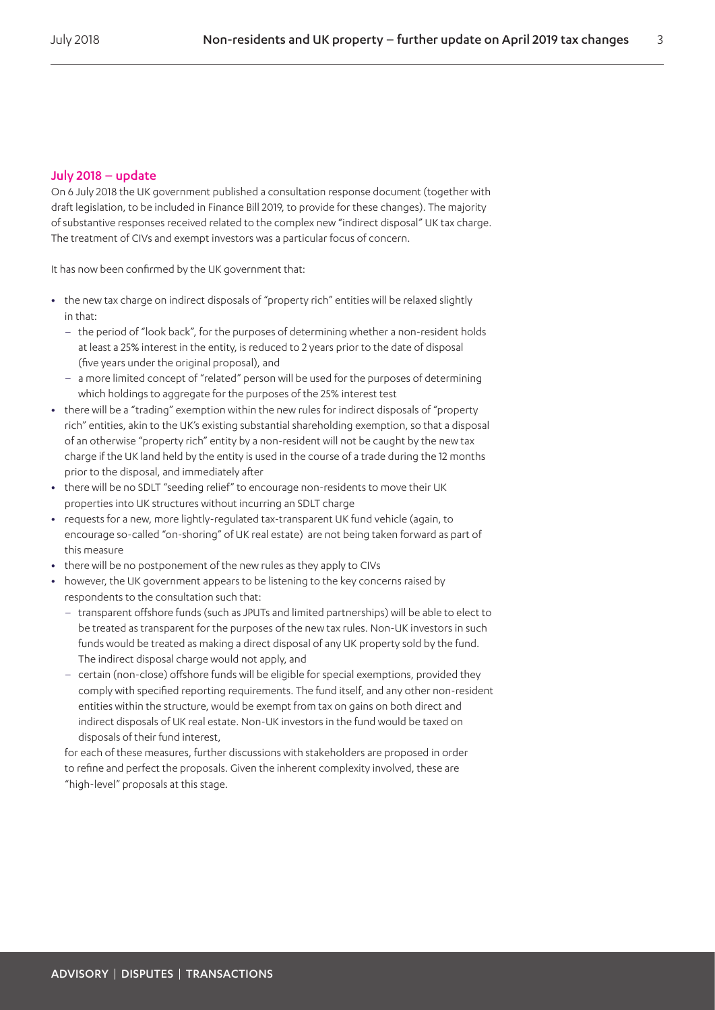#### July 2018 – update

On 6 July 2018 the UK government published a consultation response document (together with draft legislation, to be included in Finance Bill 2019, to provide for these changes). The majority of substantive responses received related to the complex new "indirect disposal" UK tax charge. The treatment of CIVs and exempt investors was a particular focus of concern.

It has now been confirmed by the UK government that:

- **•** the new tax charge on indirect disposals of "property rich" entities will be relaxed slightly in that:
	- the period of "look back", for the purposes of determining whether a non-resident holds at least a 25% interest in the entity, is reduced to 2 years prior to the date of disposal (five years under the original proposal), and
	- a more limited concept of "related" person will be used for the purposes of determining which holdings to aggregate for the purposes of the 25% interest test
- **•** there will be a "trading" exemption within the new rules for indirect disposals of "property rich" entities, akin to the UK's existing substantial shareholding exemption, so that a disposal of an otherwise "property rich" entity by a non-resident will not be caught by the new tax charge if the UK land held by the entity is used in the course of a trade during the 12 months prior to the disposal, and immediately after
- **•** there will be no SDLT "seeding relief" to encourage non-residents to move their UK properties into UK structures without incurring an SDLT charge
- **•** requests for a new, more lightly-regulated tax-transparent UK fund vehicle (again, to encourage so-called "on-shoring" of UK real estate) are not being taken forward as part of this measure
- **•** there will be no postponement of the new rules as they apply to CIVs
- **•** however, the UK government appears to be listening to the key concerns raised by respondents to the consultation such that:
	- transparent offshore funds (such as JPUTs and limited partnerships) will be able to elect to be treated as transparent for the purposes of the new tax rules. Non-UK investors in such funds would be treated as making a direct disposal of any UK property sold by the fund. The indirect disposal charge would not apply, and
	- certain (non-close) offshore funds will be eligible for special exemptions, provided they comply with specified reporting requirements. The fund itself, and any other non-resident entities within the structure, would be exempt from tax on gains on both direct and indirect disposals of UK real estate. Non-UK investors in the fund would be taxed on disposals of their fund interest,

for each of these measures, further discussions with stakeholders are proposed in order to refine and perfect the proposals. Given the inherent complexity involved, these are "high-level" proposals at this stage.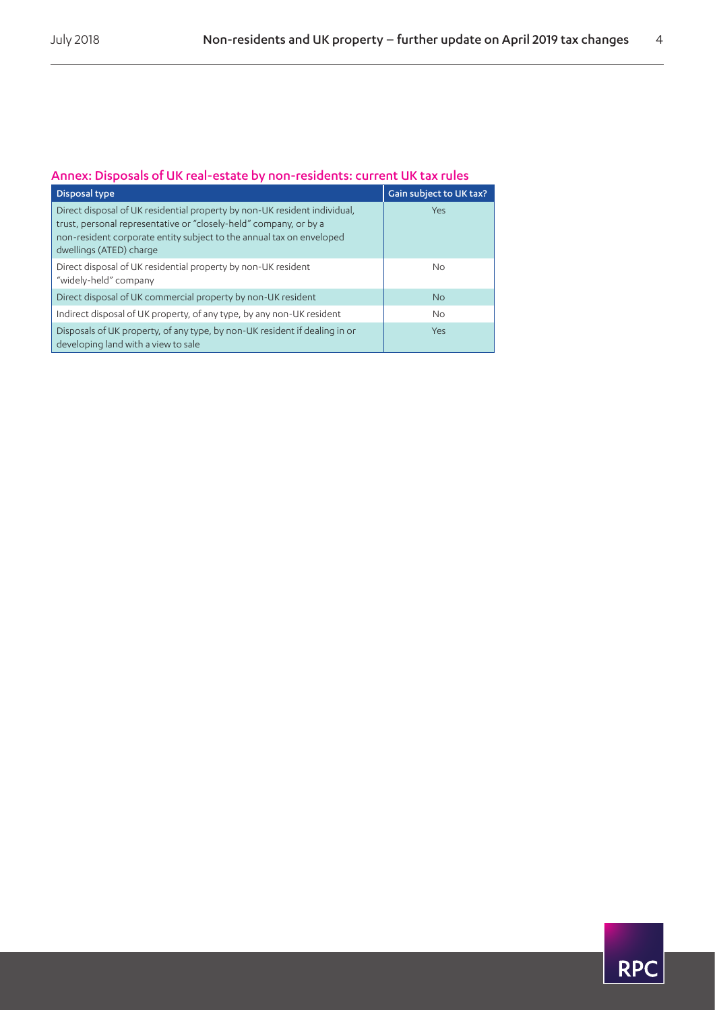### Annex: Disposals of UK real-estate by non-residents: current UK tax rules

| Disposal type                                                                                                                                                                                                                                     | Gain subject to UK tax? |
|---------------------------------------------------------------------------------------------------------------------------------------------------------------------------------------------------------------------------------------------------|-------------------------|
| Direct disposal of UK residential property by non-UK resident individual,<br>trust, personal representative or "closely-held" company, or by a<br>non-resident corporate entity subject to the annual tax on enveloped<br>dwellings (ATED) charge | Yes                     |
| Direct disposal of UK residential property by non-UK resident<br>"widely-held" company                                                                                                                                                            | <b>No</b>               |
| Direct disposal of UK commercial property by non-UK resident                                                                                                                                                                                      | <b>No</b>               |
| Indirect disposal of UK property, of any type, by any non-UK resident                                                                                                                                                                             | No.                     |
| Disposals of UK property, of any type, by non-UK resident if dealing in or<br>developing land with a view to sale                                                                                                                                 | Yes                     |